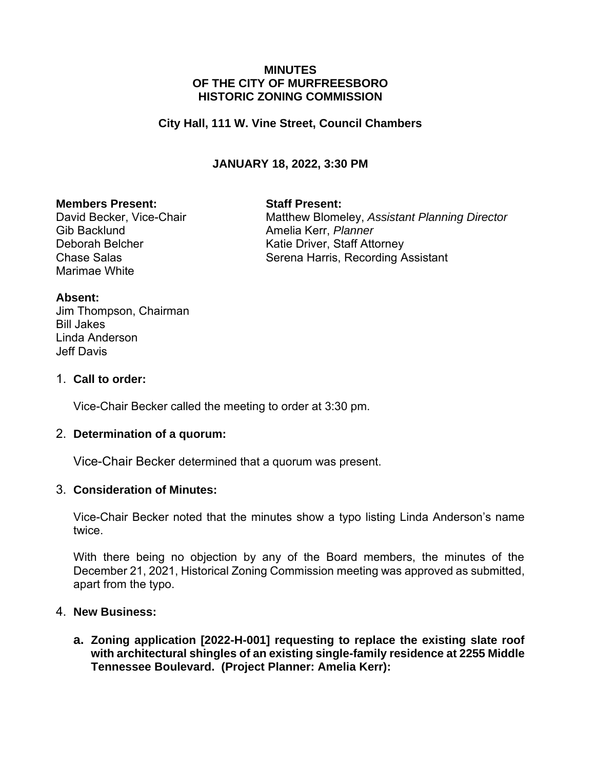### **MINUTES OF THE CITY OF MURFREESBORO HISTORIC ZONING COMMISSION**

### **City Hall, 111 W. Vine Street, Council Chambers**

## **JANUARY 18, 2022, 3:30 PM**

#### **Members Present: Staff Present:**

Gib Backlund **Amelia Kerr**, *Planner* Marimae White

David Becker, Vice-Chair **Matthew Blomeley, Assistant Planning Director** Deborah Belcher Katie Driver, Staff Attorney Chase Salas Salas Serena Harris, Recording Assistant

#### **Absent:**

Jim Thompson, Chairman Bill Jakes Linda Anderson Jeff Davis

#### 1. **Call to order:**

Vice-Chair Becker called the meeting to order at 3:30 pm.

### 2. **Determination of a quorum:**

Vice-Chair Becker determined that a quorum was present.

### 3. **Consideration of Minutes:**

Vice-Chair Becker noted that the minutes show a typo listing Linda Anderson's name twice.

With there being no objection by any of the Board members, the minutes of the December 21, 2021, Historical Zoning Commission meeting was approved as submitted, apart from the typo.

#### 4. **New Business:**

**a. Zoning application [2022-H-001] requesting to replace the existing slate roof with architectural shingles of an existing single-family residence at 2255 Middle Tennessee Boulevard. (Project Planner: Amelia Kerr):**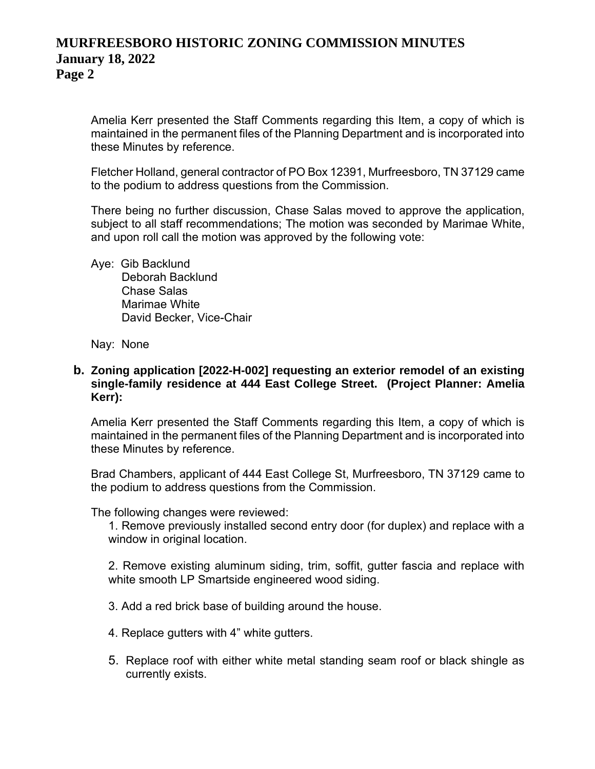## **MURFREESBORO HISTORIC ZONING COMMISSION MINUTES January 18, 2022 Page 2**

Amelia Kerr presented the Staff Comments regarding this Item, a copy of which is maintained in the permanent files of the Planning Department and is incorporated into these Minutes by reference.

Fletcher Holland, general contractor of PO Box 12391, Murfreesboro, TN 37129 came to the podium to address questions from the Commission.

There being no further discussion, Chase Salas moved to approve the application, subject to all staff recommendations; The motion was seconded by Marimae White, and upon roll call the motion was approved by the following vote:

Aye: Gib Backlund Deborah Backlund Chase Salas Marimae White David Becker, Vice-Chair

Nay: None

#### **b. Zoning application [2022-H-002] requesting an exterior remodel of an existing single-family residence at 444 East College Street. (Project Planner: Amelia Kerr):**

Amelia Kerr presented the Staff Comments regarding this Item, a copy of which is maintained in the permanent files of the Planning Department and is incorporated into these Minutes by reference.

Brad Chambers, applicant of 444 East College St, Murfreesboro, TN 37129 came to the podium to address questions from the Commission.

The following changes were reviewed:

1. Remove previously installed second entry door (for duplex) and replace with a window in original location.

2. Remove existing aluminum siding, trim, soffit, gutter fascia and replace with white smooth LP Smartside engineered wood siding.

- 3. Add a red brick base of building around the house.
- 4. Replace gutters with 4" white gutters.
- 5. Replace roof with either white metal standing seam roof or black shingle as currently exists.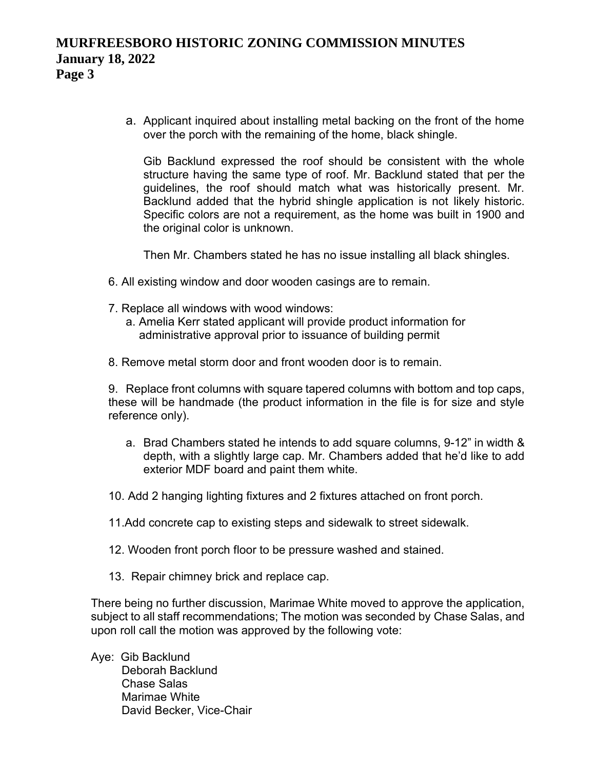# **MURFREESBORO HISTORIC ZONING COMMISSION MINUTES January 18, 2022 Page 3**

a. Applicant inquired about installing metal backing on the front of the home over the porch with the remaining of the home, black shingle.

Gib Backlund expressed the roof should be consistent with the whole structure having the same type of roof. Mr. Backlund stated that per the guidelines, the roof should match what was historically present. Mr. Backlund added that the hybrid shingle application is not likely historic. Specific colors are not a requirement, as the home was built in 1900 and the original color is unknown.

Then Mr. Chambers stated he has no issue installing all black shingles.

- 6. All existing window and door wooden casings are to remain.
- 7. Replace all windows with wood windows:
	- a. Amelia Kerr stated applicant will provide product information for administrative approval prior to issuance of building permit
- 8. Remove metal storm door and front wooden door is to remain.

9. Replace front columns with square tapered columns with bottom and top caps, these will be handmade (the product information in the file is for size and style reference only).

- a. Brad Chambers stated he intends to add square columns, 9-12" in width & depth, with a slightly large cap. Mr. Chambers added that he'd like to add exterior MDF board and paint them white.
- 10. Add 2 hanging lighting fixtures and 2 fixtures attached on front porch.
- 11.Add concrete cap to existing steps and sidewalk to street sidewalk.
- 12. Wooden front porch floor to be pressure washed and stained.
- 13. Repair chimney brick and replace cap.

There being no further discussion, Marimae White moved to approve the application, subject to all staff recommendations; The motion was seconded by Chase Salas, and upon roll call the motion was approved by the following vote:

Aye: Gib Backlund Deborah Backlund Chase Salas Marimae White David Becker, Vice-Chair